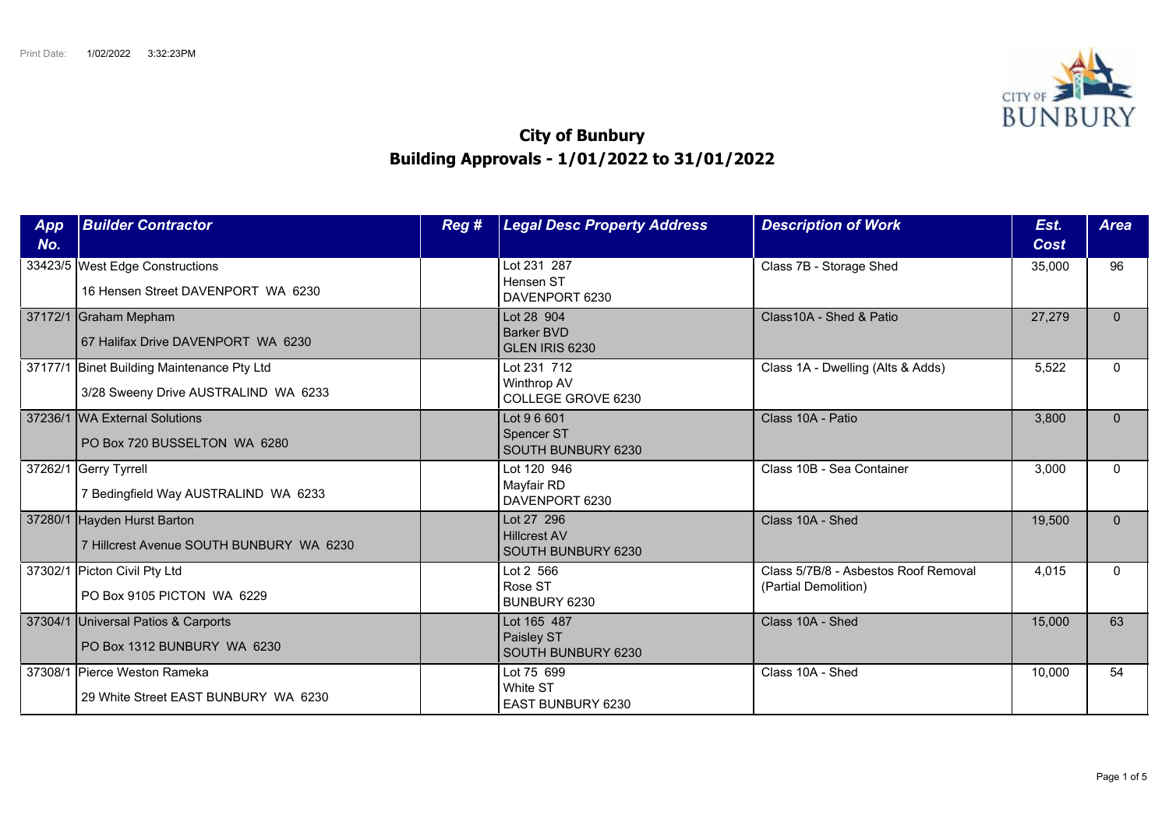

## **City of Bunbury Building Approvals - 1/01/2022 to 31/01/2022**

| App<br>No. | <b>Builder Contractor</b>                                                          | Reg # | <b>Legal Desc Property Address</b>                      | <b>Description of Work</b>                                   | Est.<br>Cost | <b>Area</b>  |
|------------|------------------------------------------------------------------------------------|-------|---------------------------------------------------------|--------------------------------------------------------------|--------------|--------------|
|            | 33423/5 West Edge Constructions<br>16 Hensen Street DAVENPORT WA 6230              |       | Lot 231 287<br>Hensen ST<br>DAVENPORT 6230              | Class 7B - Storage Shed                                      | 35,000       | 96           |
|            | 37172/1 Graham Mepham<br>67 Halifax Drive DAVENPORT WA 6230                        |       | Lot 28 904<br><b>Barker BVD</b><br>GLEN IRIS 6230       | Class10A - Shed & Patio                                      | 27,279       | $\Omega$     |
|            | 37177/1 Binet Building Maintenance Pty Ltd<br>3/28 Sweeny Drive AUSTRALIND WA 6233 |       | Lot 231 712<br>Winthrop AV<br>COLLEGE GROVE 6230        | Class 1A - Dwelling (Alts & Adds)                            | 5,522        | $\Omega$     |
|            | 37236/1 WA External Solutions<br>PO Box 720 BUSSELTON WA 6280                      |       | Lot 9 6 601<br>Spencer ST<br>SOUTH BUNBURY 6230         | Class 10A - Patio                                            | 3,800        | $\Omega$     |
|            | 37262/1 Gerry Tyrrell<br>7 Bedingfield Way AUSTRALIND WA 6233                      |       | Lot 120 946<br>Mayfair RD<br>DAVENPORT 6230             | Class 10B - Sea Container                                    | 3,000        | $\Omega$     |
|            | 37280/1 Hayden Hurst Barton<br>7 Hillcrest Avenue SOUTH BUNBURY WA 6230            |       | Lot 27 296<br><b>Hillcrest AV</b><br>SOUTH BUNBURY 6230 | Class 10A - Shed                                             | 19,500       | $\mathbf{0}$ |
|            | 37302/1 Picton Civil Pty Ltd<br>PO Box 9105 PICTON WA 6229                         |       | Lot 2 566<br>Rose ST<br>BUNBURY 6230                    | Class 5/7B/8 - Asbestos Roof Removal<br>(Partial Demolition) | 4.015        | $\Omega$     |
|            | 37304/1 Universal Patios & Carports<br>PO Box 1312 BUNBURY WA 6230                 |       | Lot 165 487<br>Paisley ST<br>SOUTH BUNBURY 6230         | Class 10A - Shed                                             | 15,000       | 63           |
|            | 37308/1   Pierce Weston Rameka<br>29 White Street EAST BUNBURY WA 6230             |       | Lot 75 699<br>White ST<br>EAST BUNBURY 6230             | Class 10A - Shed                                             | 10,000       | 54           |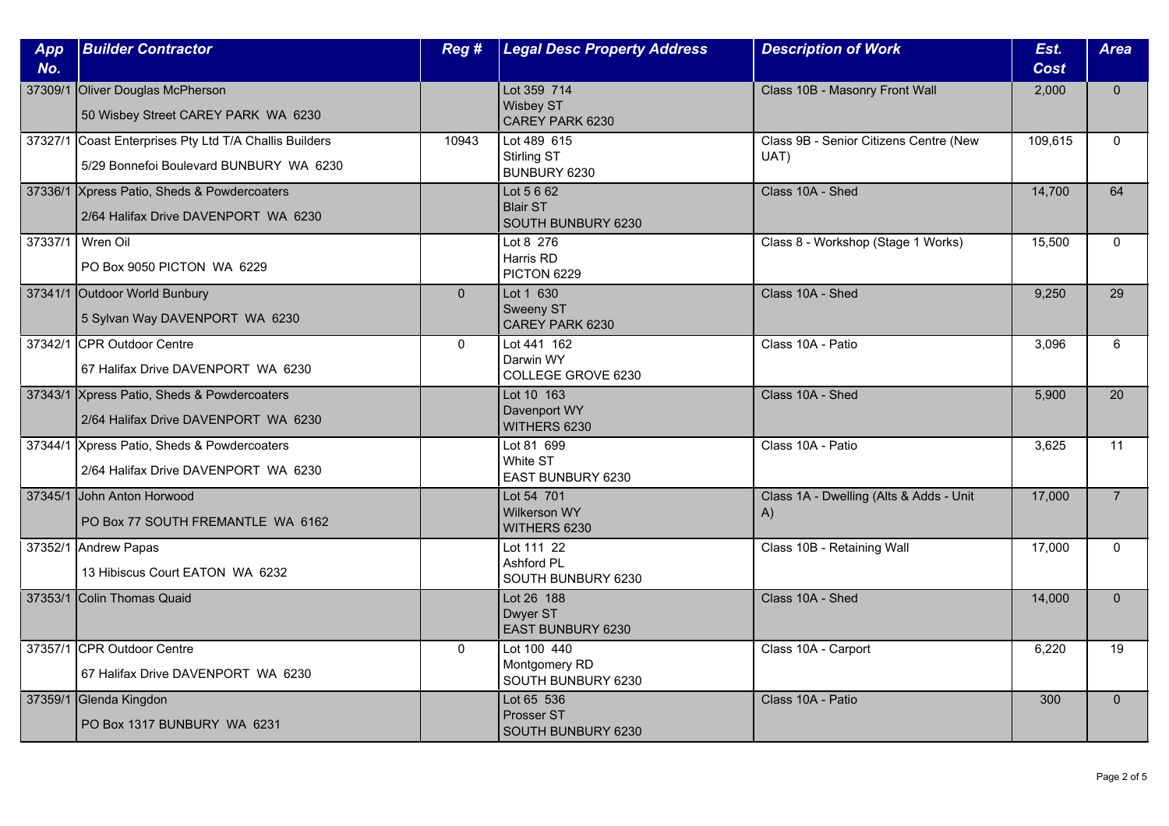| App<br>No. | <b>Builder Contractor</b>                                                                         | Reg#           | <b>Legal Desc Property Address</b>                  | <b>Description of Work</b>                     | Est.<br><b>Cost</b> | <b>Area</b>    |
|------------|---------------------------------------------------------------------------------------------------|----------------|-----------------------------------------------------|------------------------------------------------|---------------------|----------------|
| 37309/1    | Oliver Douglas McPherson<br>50 Wisbey Street CAREY PARK WA 6230                                   |                | Lot 359 714<br><b>Wisbey ST</b><br>CAREY PARK 6230  | Class 10B - Masonry Front Wall                 | 2,000               | $\Omega$       |
|            | 37327/1 Coast Enterprises Pty Ltd T/A Challis Builders<br>5/29 Bonnefoi Boulevard BUNBURY WA 6230 | 10943          | Lot 489 615<br><b>Stirling ST</b><br>BUNBURY 6230   | Class 9B - Senior Citizens Centre (New<br>UAT) | 109,615             | $\Omega$       |
|            | 37336/1 Xpress Patio, Sheds & Powdercoaters<br>2/64 Halifax Drive DAVENPORT WA 6230               |                | Lot 5 6 62<br><b>Blair ST</b><br>SOUTH BUNBURY 6230 | Class 10A - Shed                               | 14,700              | 64             |
|            | 37337/1   Wren Oil<br>PO Box 9050 PICTON WA 6229                                                  |                | Lot 8 276<br>Harris RD<br>PICTON 6229               | Class 8 - Workshop (Stage 1 Works)             | 15,500              | $\mathbf{0}$   |
|            | 37341/1 Outdoor World Bunbury<br>5 Sylvan Way DAVENPORT WA 6230                                   | $\overline{0}$ | Lot 1 630<br>Sweeny ST<br>CAREY PARK 6230           | Class 10A - Shed                               | 9,250               | 29             |
|            | 37342/1 CPR Outdoor Centre<br>67 Halifax Drive DAVENPORT WA 6230                                  | $\mathbf{0}$   | Lot 441 162<br>Darwin WY<br>COLLEGE GROVE 6230      | Class 10A - Patio                              | 3,096               | 6              |
|            | 37343/1 Xpress Patio, Sheds & Powdercoaters<br>2/64 Halifax Drive DAVENPORT WA 6230               |                | Lot 10 163<br>Davenport WY<br>WITHERS 6230          | Class 10A - Shed                               | 5.900               | 20             |
|            | 37344/1 Xpress Patio, Sheds & Powdercoaters<br>2/64 Halifax Drive DAVENPORT WA 6230               |                | Lot 81 699<br>White ST<br>EAST BUNBURY 6230         | Class 10A - Patio                              | 3,625               | 11             |
|            | 37345/1 John Anton Horwood<br>PO Box 77 SOUTH FREMANTLE WA 6162                                   |                | Lot 54 701<br>Wilkerson WY<br>WITHERS 6230          | Class 1A - Dwelling (Alts & Adds - Unit<br>A)  | 17,000              | $\overline{7}$ |
|            | 37352/1 Andrew Papas<br>13 Hibiscus Court EATON WA 6232                                           |                | Lot 111 22<br>Ashford PL<br>SOUTH BUNBURY 6230      | Class 10B - Retaining Wall                     | 17,000              | $\mathbf{0}$   |
|            | 37353/1 Colin Thomas Quaid                                                                        |                | Lot 26 188<br>Dwyer ST<br>EAST BUNBURY 6230         | Class 10A - Shed                               | 14,000              | $\mathbf{0}$   |
|            | 37357/1 CPR Outdoor Centre<br>67 Halifax Drive DAVENPORT WA 6230                                  | $\mathbf{0}$   | Lot 100 440<br>Montgomery RD<br>SOUTH BUNBURY 6230  | Class 10A - Carport                            | 6,220               | 19             |
|            | 37359/1 Glenda Kingdon<br>PO Box 1317 BUNBURY WA 6231                                             |                | Lot 65 536<br>Prosser ST<br>SOUTH BUNBURY 6230      | Class 10A - Patio                              | 300                 | $\Omega$       |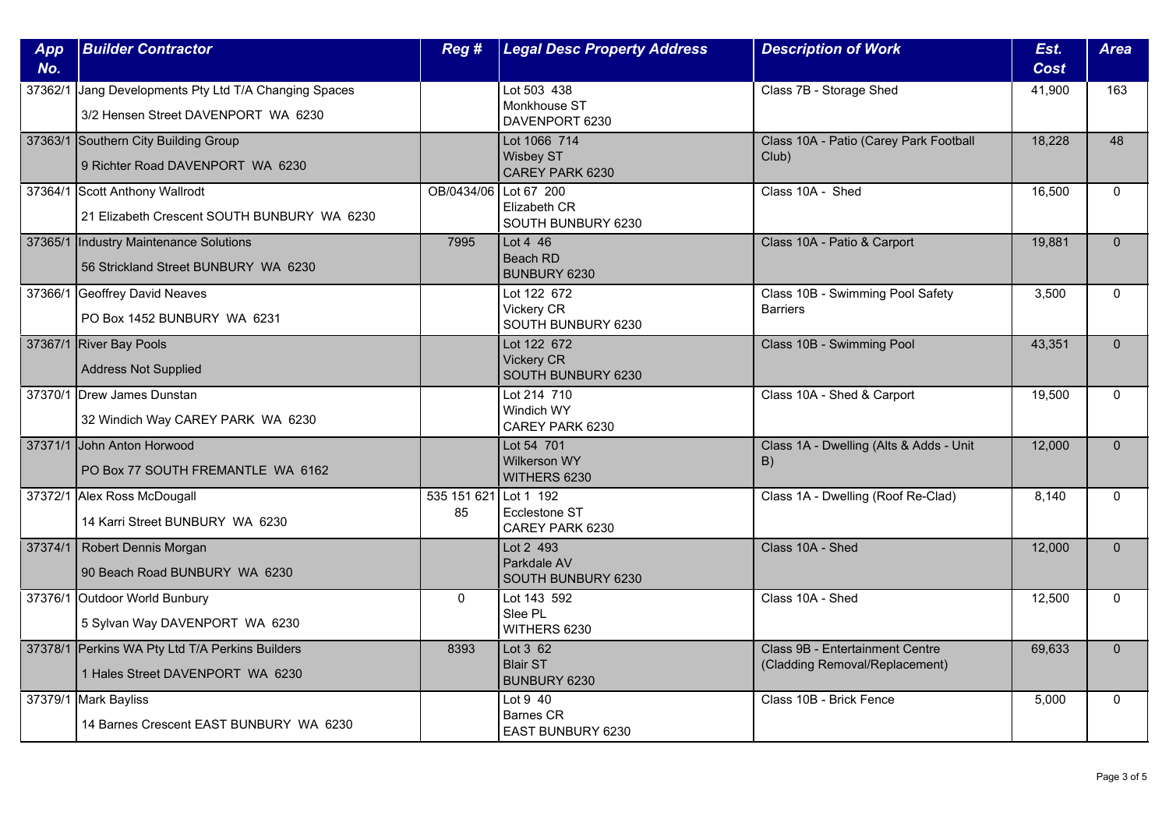| App     | <b>Builder Contractor</b>                       | Reg#                  | <b>Legal Desc Property Address</b>           | <b>Description of Work</b>              | Est.        | <b>Area</b>  |
|---------|-------------------------------------------------|-----------------------|----------------------------------------------|-----------------------------------------|-------------|--------------|
| No.     |                                                 |                       |                                              |                                         | <b>Cost</b> |              |
| 37362/1 | Jang Developments Pty Ltd T/A Changing Spaces   |                       | Lot 503 438                                  | Class 7B - Storage Shed                 | 41,900      | 163          |
|         | 3/2 Hensen Street DAVENPORT WA 6230             |                       | Monkhouse ST<br>DAVENPORT 6230               |                                         |             |              |
|         | 37363/1 Southern City Building Group            |                       | Lot 1066 714                                 | Class 10A - Patio (Carey Park Football  | 18,228      | 48           |
|         | 9 Richter Road DAVENPORT WA 6230                |                       | <b>Wisbey ST</b><br>CAREY PARK 6230          | Club)                                   |             |              |
|         | 37364/1 Scott Anthony Wallrodt                  | OB/0434/06            | Lot 67 200                                   | Class 10A - Shed                        | 16,500      | $\mathbf{0}$ |
|         | 21 Elizabeth Crescent SOUTH BUNBURY WA 6230     |                       | Elizabeth CR<br>SOUTH BUNBURY 6230           |                                         |             |              |
|         | 37365/1 Industry Maintenance Solutions          | 7995                  | Lot $4\overline{46}$                         | Class 10A - Patio & Carport             | 19.881      | $\Omega$     |
|         | 56 Strickland Street BUNBURY WA 6230            |                       | Beach RD<br>BUNBURY 6230                     |                                         |             |              |
|         | 37366/1 Geoffrey David Neaves                   |                       | Lot 122 672                                  | Class 10B - Swimming Pool Safety        | 3,500       | $\Omega$     |
|         | PO Box 1452 BUNBURY WA 6231                     |                       | <b>Vickery CR</b><br>SOUTH BUNBURY 6230      | <b>Barriers</b>                         |             |              |
|         | 37367/1 River Bay Pools                         |                       | Lot 122 672                                  | Class 10B - Swimming Pool               | 43,351      | $\Omega$     |
|         | <b>Address Not Supplied</b>                     |                       | <b>Vickery CR</b><br>SOUTH BUNBURY 6230      |                                         |             |              |
|         | 37370/1 Drew James Dunstan                      |                       | Lot 214 710                                  | Class 10A - Shed & Carport              | 19,500      | $\mathbf 0$  |
|         | 32 Windich Way CAREY PARK WA 6230               |                       | Windich WY<br>CAREY PARK 6230                |                                         |             |              |
|         | 37371/1 John Anton Horwood                      |                       | Lot 54 701                                   | Class 1A - Dwelling (Alts & Adds - Unit | 12,000      | $\Omega$     |
|         | PO Box 77 SOUTH FREMANTLE WA 6162               |                       | <b>Wilkerson WY</b><br>WITHERS 6230          | B)                                      |             |              |
|         | 37372/1 Alex Ross McDougall                     | 535 151 621 Lot 1 192 |                                              | Class 1A - Dwelling (Roof Re-Clad)      | 8,140       | $\Omega$     |
|         | 14 Karri Street BUNBURY WA 6230                 | 85                    | Ecclestone ST<br>CAREY PARK 6230             |                                         |             |              |
|         | 37374/1   Robert Dennis Morgan                  |                       | Lot 2 493                                    | Class 10A - Shed                        | 12,000      | $\Omega$     |
|         | 90 Beach Road BUNBURY WA 6230                   |                       | Parkdale AV<br>SOUTH BUNBURY 6230            |                                         |             |              |
|         | 37376/1 Outdoor World Bunbury                   | $\mathbf 0$           | Lot 143 592                                  | Class 10A - Shed                        | 12,500      | $\mathbf 0$  |
|         | 5 Sylvan Way DAVENPORT WA 6230                  |                       | Slee PL<br>WITHERS 6230                      |                                         |             |              |
|         | 37378/1 Perkins WA Pty Ltd T/A Perkins Builders | 8393                  | Lot 3 62                                     | Class 9B - Entertainment Centre         | 69,633      | $\Omega$     |
|         | 1 Hales Street DAVENPORT WA 6230                |                       | <b>Blair ST</b><br><b>BUNBURY 6230</b>       | (Cladding Removal/Replacement)          |             |              |
|         | 37379/1 Mark Bayliss                            |                       | Lot 9 40                                     | Class 10B - Brick Fence                 | 5,000       | $\mathbf{0}$ |
|         | 14 Barnes Crescent EAST BUNBURY WA 6230         |                       | <b>Barnes CR</b><br><b>EAST BUNBURY 6230</b> |                                         |             |              |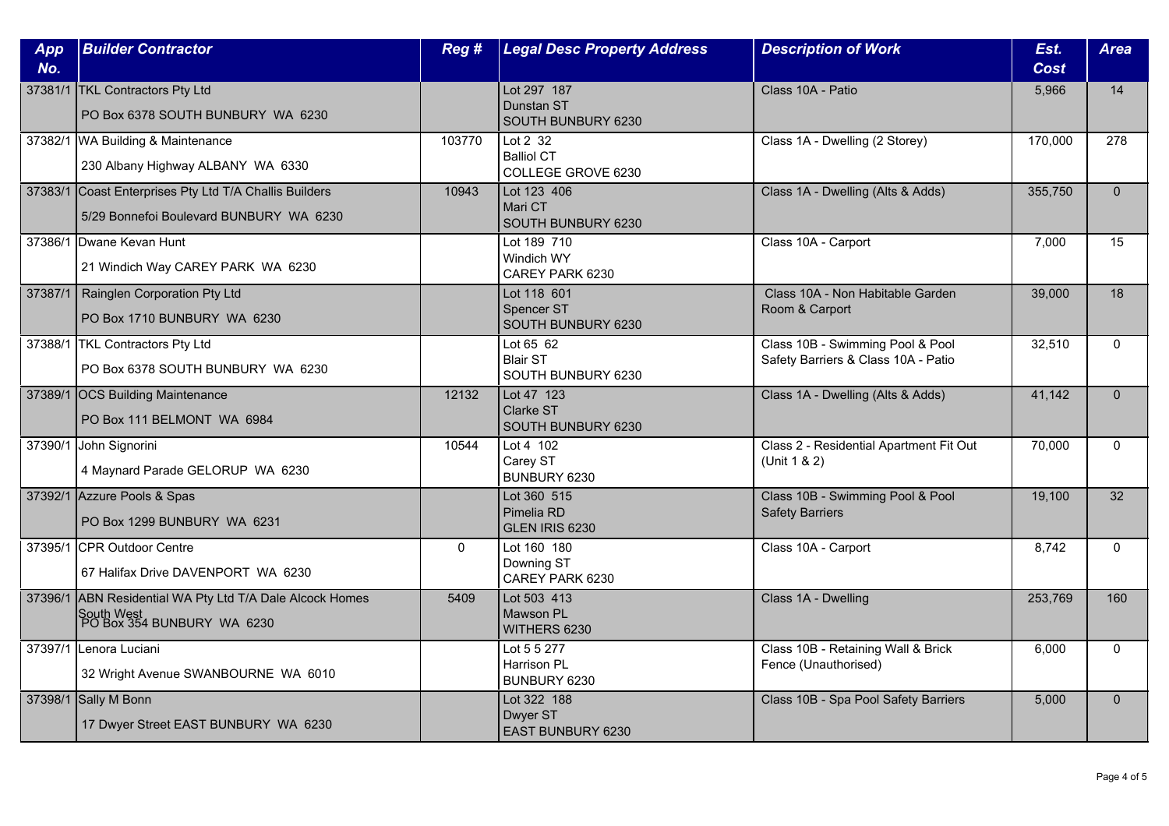| App<br>No. | <b>Builder Contractor</b>                                                                            | Reg #       | <b>Legal Desc Property Address</b>                  | <b>Description of Work</b>                                              | Est.<br>Cost | <b>Area</b>     |
|------------|------------------------------------------------------------------------------------------------------|-------------|-----------------------------------------------------|-------------------------------------------------------------------------|--------------|-----------------|
|            | 37381/1 TKL Contractors Pty Ltd<br>PO Box 6378 SOUTH BUNBURY WA 6230                                 |             | Lot 297 187<br>Dunstan ST<br>SOUTH BUNBURY 6230     | Class 10A - Patio                                                       | 5,966        | 14              |
|            | 37382/1 WA Building & Maintenance<br>230 Albany Highway ALBANY WA 6330                               | 103770      | Lot 2 32<br><b>Balliol CT</b><br>COLLEGE GROVE 6230 | Class 1A - Dwelling (2 Storey)                                          | 170,000      | 278             |
|            | 37383/1 Coast Enterprises Pty Ltd T/A Challis Builders<br>5/29 Bonnefoi Boulevard BUNBURY WA 6230    | 10943       | Lot 123 406<br>Mari CT<br>SOUTH BUNBURY 6230        | Class 1A - Dwelling (Alts & Adds)                                       | 355,750      | $\mathbf{0}$    |
|            | 37386/1 Dwane Kevan Hunt<br>21 Windich Way CAREY PARK WA 6230                                        |             | Lot 189 710<br>Windich WY<br>CAREY PARK 6230        | Class 10A - Carport                                                     | 7.000        | 15              |
| 37387/1    | Rainglen Corporation Pty Ltd<br>PO Box 1710 BUNBURY WA 6230                                          |             | Lot 118 601<br>Spencer ST<br>SOUTH BUNBURY 6230     | Class 10A - Non Habitable Garden<br>Room & Carport                      | 39,000       | 18              |
|            | 37388/1 TKL Contractors Pty Ltd<br>PO Box 6378 SOUTH BUNBURY WA 6230                                 |             | Lot 65 62<br><b>Blair ST</b><br>SOUTH BUNBURY 6230  | Class 10B - Swimming Pool & Pool<br>Safety Barriers & Class 10A - Patio | 32,510       | $\Omega$        |
|            | 37389/1 OCS Building Maintenance<br>PO Box 111 BELMONT WA 6984                                       | 12132       | Lot 47 123<br>Clarke ST<br>SOUTH BUNBURY 6230       | Class 1A - Dwelling (Alts & Adds)                                       | 41,142       | $\mathbf{0}$    |
|            | 37390/1 John Signorini<br>4 Maynard Parade GELORUP WA 6230                                           | 10544       | Lot 4 102<br>Carey ST<br>BUNBURY 6230               | Class 2 - Residential Apartment Fit Out<br>(Unit 1 & 2)                 | 70,000       | $\Omega$        |
|            | 37392/1 Azzure Pools & Spas<br>PO Box 1299 BUNBURY WA 6231                                           |             | Lot 360 515<br>Pimelia RD<br>GLEN IRIS 6230         | Class 10B - Swimming Pool & Pool<br><b>Safety Barriers</b>              | 19,100       | 32 <sup>2</sup> |
|            | 37395/1 CPR Outdoor Centre<br>67 Halifax Drive DAVENPORT WA 6230                                     | $\mathbf 0$ | Lot 160 180<br>Downing ST<br>CAREY PARK 6230        | Class 10A - Carport                                                     | 8,742        | $\mathbf{0}$    |
|            | 37396/1 ABN Residential WA Pty Ltd T/A Dale Alcock Homes<br>South West<br>PO Box 354 BUNBURY WA 6230 | 5409        | Lot 503 413<br><b>Mawson PL</b><br>WITHERS 6230     | Class 1A - Dwelling                                                     | 253,769      | 160             |
|            | 37397/1 Lenora Luciani<br>32 Wright Avenue SWANBOURNE WA 6010                                        |             | Lot 5 5 277<br>Harrison PL<br>BUNBURY 6230          | Class 10B - Retaining Wall & Brick<br>Fence (Unauthorised)              | 6,000        | $\mathbf{0}$    |
|            | 37398/1 Sally M Bonn<br>17 Dwyer Street EAST BUNBURY WA 6230                                         |             | Lot 322 188<br>Dwyer ST<br><b>EAST BUNBURY 6230</b> | Class 10B - Spa Pool Safety Barriers                                    | 5,000        | $\mathbf{0}$    |